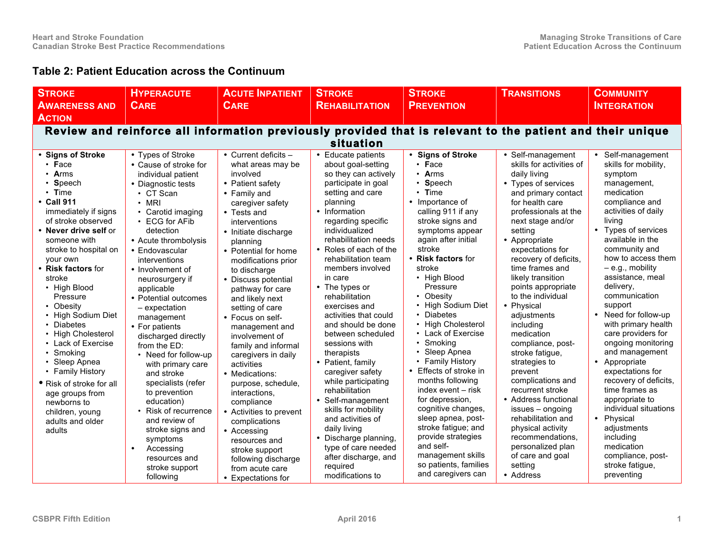## **Table 2: Patient Education across the Continuum**

| <b>STROKE</b>                                                                                                                                                                                                                                                                                                                                                                                                                                                                                                                                                                         | <b>HYPERACUTE</b>                                                                                                                                                                                                                                                                                                                                                                                                                                                                                                                                                                                                                                                  | <b>ACUTE INPATIENT</b>                                                                                                                                                                                                                                                                                                                                                                                                                                                                                                                                                                                                                                               | <b>STROKE</b>                                                                                                                                                                                                                                                                                                                                                                                                                                                                                                                                                                                                                                                                                           | <b>STROKE</b>                                                                                                                                                                                                                                                                                                                                                                                                                                                                                                                                                                                                                                                                                        | <b>TRANSITIONS</b>                                                                                                                                                                                                                                                                                                                                                                                                                                                                                                                                                                                                                                                                       | <b>COMMUNITY</b>                                                                                                                                                                                                                                                                                                                                                                                                                                                                                                                                                                                                                                                           |  |  |  |  |  |
|---------------------------------------------------------------------------------------------------------------------------------------------------------------------------------------------------------------------------------------------------------------------------------------------------------------------------------------------------------------------------------------------------------------------------------------------------------------------------------------------------------------------------------------------------------------------------------------|--------------------------------------------------------------------------------------------------------------------------------------------------------------------------------------------------------------------------------------------------------------------------------------------------------------------------------------------------------------------------------------------------------------------------------------------------------------------------------------------------------------------------------------------------------------------------------------------------------------------------------------------------------------------|----------------------------------------------------------------------------------------------------------------------------------------------------------------------------------------------------------------------------------------------------------------------------------------------------------------------------------------------------------------------------------------------------------------------------------------------------------------------------------------------------------------------------------------------------------------------------------------------------------------------------------------------------------------------|---------------------------------------------------------------------------------------------------------------------------------------------------------------------------------------------------------------------------------------------------------------------------------------------------------------------------------------------------------------------------------------------------------------------------------------------------------------------------------------------------------------------------------------------------------------------------------------------------------------------------------------------------------------------------------------------------------|------------------------------------------------------------------------------------------------------------------------------------------------------------------------------------------------------------------------------------------------------------------------------------------------------------------------------------------------------------------------------------------------------------------------------------------------------------------------------------------------------------------------------------------------------------------------------------------------------------------------------------------------------------------------------------------------------|------------------------------------------------------------------------------------------------------------------------------------------------------------------------------------------------------------------------------------------------------------------------------------------------------------------------------------------------------------------------------------------------------------------------------------------------------------------------------------------------------------------------------------------------------------------------------------------------------------------------------------------------------------------------------------------|----------------------------------------------------------------------------------------------------------------------------------------------------------------------------------------------------------------------------------------------------------------------------------------------------------------------------------------------------------------------------------------------------------------------------------------------------------------------------------------------------------------------------------------------------------------------------------------------------------------------------------------------------------------------------|--|--|--|--|--|
| <b>AWARENESS AND</b>                                                                                                                                                                                                                                                                                                                                                                                                                                                                                                                                                                  | <b>CARE</b>                                                                                                                                                                                                                                                                                                                                                                                                                                                                                                                                                                                                                                                        | <b>CARE</b>                                                                                                                                                                                                                                                                                                                                                                                                                                                                                                                                                                                                                                                          | <b>REHABILITATION</b>                                                                                                                                                                                                                                                                                                                                                                                                                                                                                                                                                                                                                                                                                   | <b>PREVENTION</b>                                                                                                                                                                                                                                                                                                                                                                                                                                                                                                                                                                                                                                                                                    |                                                                                                                                                                                                                                                                                                                                                                                                                                                                                                                                                                                                                                                                                          | <b>INTEGRATION</b>                                                                                                                                                                                                                                                                                                                                                                                                                                                                                                                                                                                                                                                         |  |  |  |  |  |
| <b>ACTION</b>                                                                                                                                                                                                                                                                                                                                                                                                                                                                                                                                                                         |                                                                                                                                                                                                                                                                                                                                                                                                                                                                                                                                                                                                                                                                    |                                                                                                                                                                                                                                                                                                                                                                                                                                                                                                                                                                                                                                                                      |                                                                                                                                                                                                                                                                                                                                                                                                                                                                                                                                                                                                                                                                                                         |                                                                                                                                                                                                                                                                                                                                                                                                                                                                                                                                                                                                                                                                                                      |                                                                                                                                                                                                                                                                                                                                                                                                                                                                                                                                                                                                                                                                                          |                                                                                                                                                                                                                                                                                                                                                                                                                                                                                                                                                                                                                                                                            |  |  |  |  |  |
| Review and reinforce all information previously provided that is relevant to the patient and their unique                                                                                                                                                                                                                                                                                                                                                                                                                                                                             |                                                                                                                                                                                                                                                                                                                                                                                                                                                                                                                                                                                                                                                                    |                                                                                                                                                                                                                                                                                                                                                                                                                                                                                                                                                                                                                                                                      |                                                                                                                                                                                                                                                                                                                                                                                                                                                                                                                                                                                                                                                                                                         |                                                                                                                                                                                                                                                                                                                                                                                                                                                                                                                                                                                                                                                                                                      |                                                                                                                                                                                                                                                                                                                                                                                                                                                                                                                                                                                                                                                                                          |                                                                                                                                                                                                                                                                                                                                                                                                                                                                                                                                                                                                                                                                            |  |  |  |  |  |
| situation                                                                                                                                                                                                                                                                                                                                                                                                                                                                                                                                                                             |                                                                                                                                                                                                                                                                                                                                                                                                                                                                                                                                                                                                                                                                    |                                                                                                                                                                                                                                                                                                                                                                                                                                                                                                                                                                                                                                                                      |                                                                                                                                                                                                                                                                                                                                                                                                                                                                                                                                                                                                                                                                                                         |                                                                                                                                                                                                                                                                                                                                                                                                                                                                                                                                                                                                                                                                                                      |                                                                                                                                                                                                                                                                                                                                                                                                                                                                                                                                                                                                                                                                                          |                                                                                                                                                                                                                                                                                                                                                                                                                                                                                                                                                                                                                                                                            |  |  |  |  |  |
| • Signs of Stroke<br>$\cdot$ Face<br>$\cdot$ Arms<br>Speech<br>$\cdot$ Time<br>$\cdot$ Call 911<br>immediately if signs<br>of stroke observed<br>• Never drive self or<br>someone with<br>stroke to hospital on<br>your own<br>• Risk factors for<br>stroke<br>• High Blood<br>Pressure<br>• Obesity<br>• High Sodium Diet<br><b>Diabetes</b><br><b>High Cholesterol</b><br>$\bullet$<br>• Lack of Exercise<br>Smoking<br>$\bullet$<br>Sleep Apnea<br>• Family History<br>• Risk of stroke for all<br>age groups from<br>newborns to<br>children, young<br>adults and older<br>adults | • Types of Stroke<br>• Cause of stroke for<br>individual patient<br>• Diagnostic tests<br>$\cdot$ CT Scan<br>$\cdot$ MRI<br>• Carotid imaging<br>• ECG for AFib<br>detection<br>• Acute thrombolysis<br>• Endovascular<br>interventions<br>• Involvement of<br>neurosurgery if<br>applicable<br>• Potential outcomes<br>- expectation<br>management<br>• For patients<br>discharged directly<br>from the ED:<br>• Need for follow-up<br>with primary care<br>and stroke<br>specialists (refer<br>to prevention<br>education)<br>• Risk of recurrence<br>and review of<br>stroke signs and<br>symptoms<br>$\bullet$<br>Accessing<br>resources and<br>stroke support | • Current deficits -<br>what areas may be<br>involved<br>• Patient safety<br>• Family and<br>caregiver safety<br>• Tests and<br>interventions<br>• Initiate discharge<br>planning<br>• Potential for home<br>modifications prior<br>to discharge<br>• Discuss potential<br>pathway for care<br>and likely next<br>setting of care<br>• Focus on self-<br>management and<br>involvement of<br>family and informal<br>caregivers in daily<br>activities<br>• Medications:<br>purpose, schedule,<br>interactions,<br>compliance<br>• Activities to prevent<br>complications<br>• Accessing<br>resources and<br>stroke support<br>following discharge<br>from acute care | • Educate patients<br>about goal-setting<br>so they can actively<br>participate in goal<br>setting and care<br>planning<br>• Information<br>regarding specific<br>individualized<br>rehabilitation needs<br>• Roles of each of the<br>rehabilitation team<br>members involved<br>in care<br>• The types or<br>rehabilitation<br>exercises and<br>activities that could<br>and should be done<br>between scheduled<br>sessions with<br>therapists<br>• Patient, family<br>caregiver safety<br>while participating<br>rehabilitation<br>• Self-management<br>skills for mobility<br>and activities of<br>daily living<br>• Discharge planning,<br>type of care needed<br>after discharge, and<br>required | • Signs of Stroke<br>$\cdot$ Face<br>$\cdot$ Arms<br>$\cdot$ Speech<br>$\cdot$ Time<br>• Importance of<br>calling 911 if any<br>stroke signs and<br>symptoms appear<br>again after initial<br>stroke<br>• Risk factors for<br>stroke<br>• High Blood<br>Pressure<br>Obesity<br>$\bullet$<br>• High Sodium Diet<br>• Diabetes<br>• High Cholesterol<br>• Lack of Exercise<br>Smoking<br>• Sleep Apnea<br>• Family History<br>Effects of stroke in<br>$\bullet$<br>months following<br>index event - risk<br>for depression,<br>cognitive changes,<br>sleep apnea, post-<br>stroke fatigue; and<br>provide strategies<br>and self-<br>management skills<br>so patients, families<br>and caregivers can | • Self-management<br>skills for activities of<br>daily living<br>• Types of services<br>and primary contact<br>for health care<br>professionals at the<br>next stage and/or<br>setting<br>• Appropriate<br>expectations for<br>recovery of deficits,<br>time frames and<br>likely transition<br>points appropriate<br>to the individual<br>• Physical<br>adjustments<br>including<br>medication<br>compliance, post-<br>stroke fatigue,<br>strategies to<br>prevent<br>complications and<br>recurrent stroke<br>• Address functional<br>issues - ongoing<br>rehabilitation and<br>physical activity<br>recommendations,<br>personalized plan<br>of care and goal<br>setting<br>• Address | • Self-management<br>skills for mobility,<br>symptom<br>management,<br>medication<br>compliance and<br>activities of daily<br>living<br>• Types of services<br>available in the<br>community and<br>how to access them<br>$-$ e.g., mobility<br>assistance, meal<br>delivery,<br>communication<br>support<br>• Need for follow-up<br>with primary health<br>care providers for<br>ongoing monitoring<br>and management<br>Appropriate<br>$\bullet$<br>expectations for<br>recovery of deficits.<br>time frames as<br>appropriate to<br>individual situations<br>• Physical<br>adjustments<br>including<br>medication<br>compliance, post-<br>stroke fatigue,<br>preventing |  |  |  |  |  |